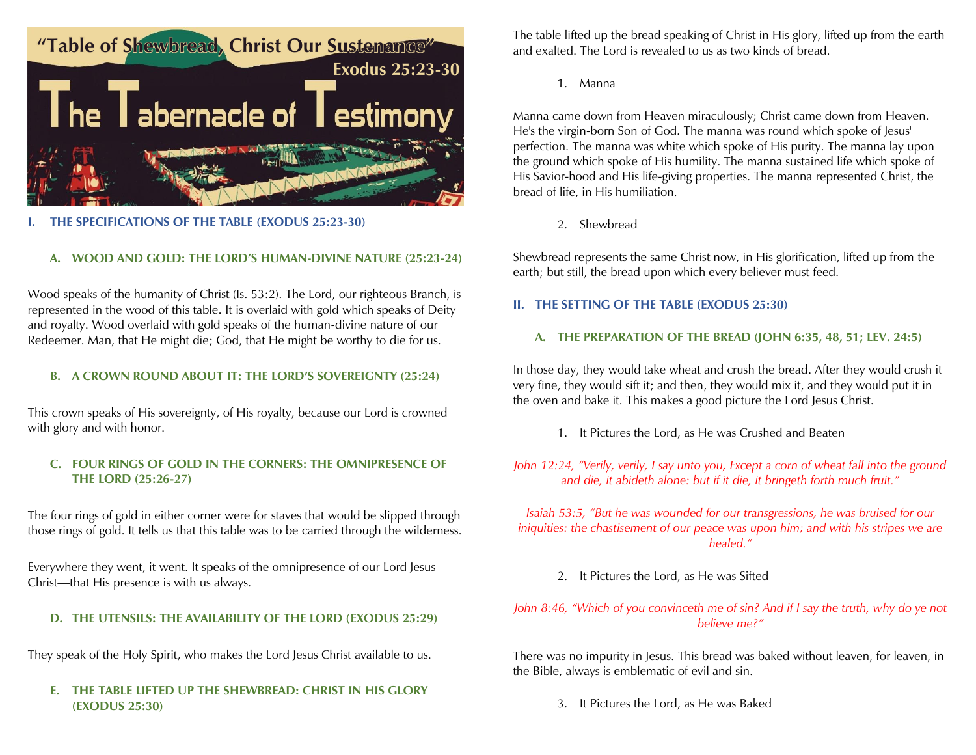

#### **I. THE SPECIFICATIONS OF THE TABLE (EXODUS 25:23-30)**

## **A. WOOD AND GOLD: THE LORD'S HUMAN-DIVINE NATURE (25:23-24)**

Wood speaks of the humanity of Christ (Is. 53:2). The Lord, our righteous Branch, is represented in the wood of this table. It is overlaid with gold which speaks of Deity and royalty. Wood overlaid with gold speaks of the human-divine nature of our Redeemer. Man, that He might die; God, that He might be worthy to die for us.

## **B. A CROWN ROUND ABOUT IT: THE LORD'S SOVEREIGNTY (25:24)**

This crown speaks of His sovereignty, of His royalty, because our Lord is crowned with glory and with honor.

## **C. FOUR RINGS OF GOLD IN THE CORNERS: THE OMNIPRESENCE OF THE LORD (25:26-27)**

The four rings of gold in either corner were for staves that would be slipped through those rings of gold. It tells us that this table was to be carried through the wilderness.

Everywhere they went, it went. It speaks of the omnipresence of our Lord Jesus Christ—that His presence is with us always.

#### **D. THE UTENSILS: THE AVAILABILITY OF THE LORD (EXODUS 25:29)**

They speak of the Holy Spirit, who makes the Lord Jesus Christ available to us.

#### **E. THE TABLE LIFTED UP THE SHEWBREAD: CHRIST IN HIS GLORY (EXODUS 25:30)**

The table lifted up the bread speaking of Christ in His glory, lifted up from the earth and exalted. The Lord is revealed to us as two kinds of bread.

1. Manna

Manna came down from Heaven miraculously; Christ came down from Heaven. He's the virgin-born Son of God. The manna was round which spoke of Jesus' perfection. The manna was white which spoke of His purity. The manna lay upon the ground which spoke of His humility. The manna sustained life which spoke of His Savior-hood and His life-giving properties. The manna represented Christ, the bread of life, in His humiliation.

2. Shewbread

Shewbread represents the same Christ now, in His glorification, lifted up from the earth; but still, the bread upon which every believer must feed.

#### **II. THE SETTING OF THE TABLE (EXODUS 25:30)**

#### **A. THE PREPARATION OF THE BREAD (JOHN 6:35, 48, 51; LEV. 24:5)**

In those day, they would take wheat and crush the bread. After they would crush it very fine, they would sift it; and then, they would mix it, and they would put it in the oven and bake it. This makes a good picture the Lord Jesus Christ.

1. It Pictures the Lord, as He was Crushed and Beaten

*John 12:24, "Verily, verily, I say unto you, Except a corn of wheat fall into the ground and die, it abideth alone: but if it die, it bringeth forth much fruit."*

*Isaiah 53:5, "But he was wounded for our transgressions, he was bruised for our iniquities: the chastisement of our peace was upon him; and with his stripes we are healed."*

2. It Pictures the Lord, as He was Sifted

# *John 8:46, "Which of you convinceth me of sin? And if I say the truth, why do ye not believe me?"*

There was no impurity in Jesus. This bread was baked without leaven, for leaven, in the Bible, always is emblematic of evil and sin.

3. It Pictures the Lord, as He was Baked